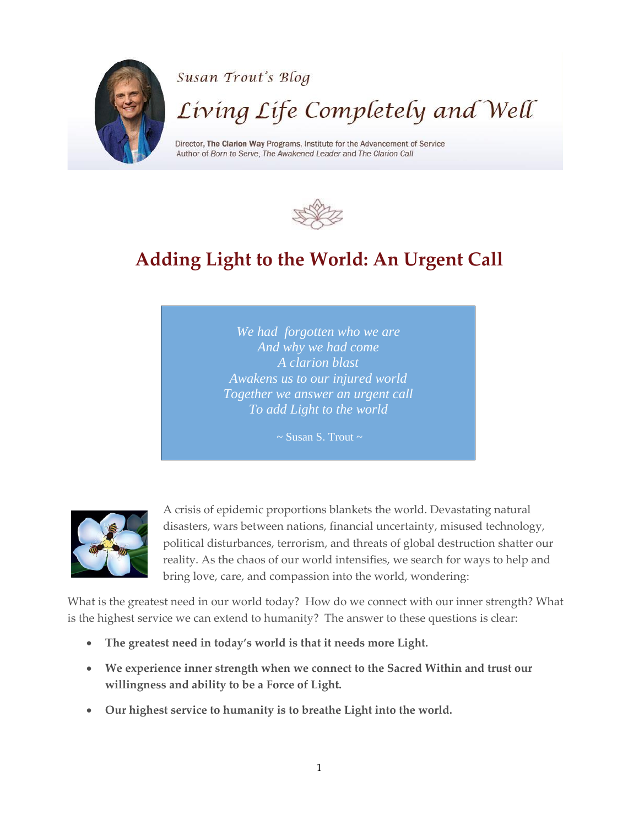



## **Adding Light to the World: An Urgent Call**

*We had forgotten who we are And why we had come A clarion blast Awakens us to our injured world Together we answer an urgent call To add Light to the world*

 $\sim$  Susan S. Trout  $\sim$ 



A crisis of epidemic proportions blankets the world. Devastating natural disasters, wars between nations, financial uncertainty, misused technology, political disturbances, terrorism, and threats of global destruction shatter our reality. As the chaos of our world intensifies, we search for ways to help and bring love, care, and compassion into the world, wondering:

What is the greatest need in our world today? How do we connect with our inner strength? What is the highest service we can extend to humanity? The answer to these questions is clear:

- **The greatest need in today's world is that it needs more Light.**
- **We experience inner strength when we connect to the Sacred Within and trust our willingness and ability to be a Force of Light.**
- **Our highest service to humanity is to breathe Light into the world.**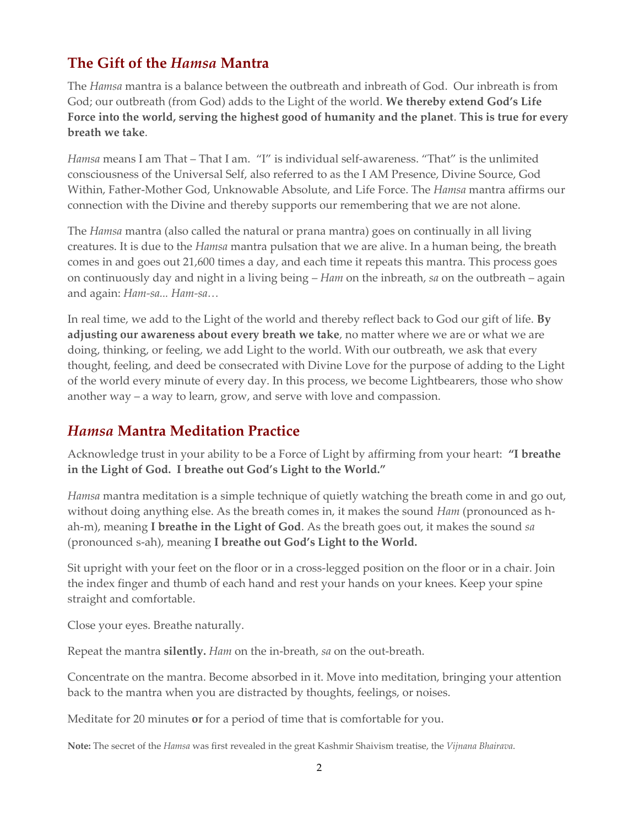## **The Gift of the** *Hamsa* **Mantra**

The *Hamsa* mantra is a balance between the outbreath and inbreath of God. Our inbreath is from God; our outbreath (from God) adds to the Light of the world. **We thereby extend God's Life Force into the world, serving the highest good of humanity and the planet**. **This is true for every breath we take**.

*Hamsa* means I am That – That I am. "I" is individual self-awareness. "That" is the unlimited consciousness of the Universal Self, also referred to as the I AM Presence, Divine Source, God Within, Father-Mother God, Unknowable Absolute, and Life Force. The *Hamsa* mantra affirms our connection with the Divine and thereby supports our remembering that we are not alone.

The *Hamsa* mantra (also called the natural or prana mantra) goes on continually in all living creatures. It is due to the *Hamsa* mantra pulsation that we are alive. In a human being, the breath comes in and goes out 21,600 times a day, and each time it repeats this mantra. This process goes on continuously day and night in a living being – *Ham* on the inbreath, *sa* on the outbreath – again and again: *Ham-sa... Ham-sa…*

In real time, we add to the Light of the world and thereby reflect back to God our gift of life. **By adjusting our awareness about every breath we take**, no matter where we are or what we are doing, thinking, or feeling, we add Light to the world. With our outbreath, we ask that every thought, feeling, and deed be consecrated with Divine Love for the purpose of adding to the Light of the world every minute of every day. In this process, we become Lightbearers, those who show another way – a way to learn, grow, and serve with love and compassion.

## *Hamsa* **Mantra Meditation Practice**

Acknowledge trust in your ability to be a Force of Light by affirming from your heart: **"I breathe in the Light of God. I breathe out God's Light to the World."** 

*Hamsa* mantra meditation is a simple technique of quietly watching the breath come in and go out, without doing anything else. As the breath comes in, it makes the sound *Ham* (pronounced as hah-m), meaning **I breathe in the Light of God**. As the breath goes out, it makes the sound *sa* (pronounced s-ah), meaning **I breathe out God's Light to the World.**

Sit upright with your feet on the floor or in a cross-legged position on the floor or in a chair. Join the index finger and thumb of each hand and rest your hands on your knees. Keep your spine straight and comfortable.

Close your eyes. Breathe naturally.

Repeat the mantra **silently.** *Ham* on the in-breath, *sa* on the out-breath.

Concentrate on the mantra. Become absorbed in it. Move into meditation, bringing your attention back to the mantra when you are distracted by thoughts, feelings, or noises.

Meditate for 20 minutes **or** for a period of time that is comfortable for you.

**Note:** The secret of the *Hamsa* was first revealed in the great Kashmir Shaivism treatise, the *Vijnana Bhairava*.